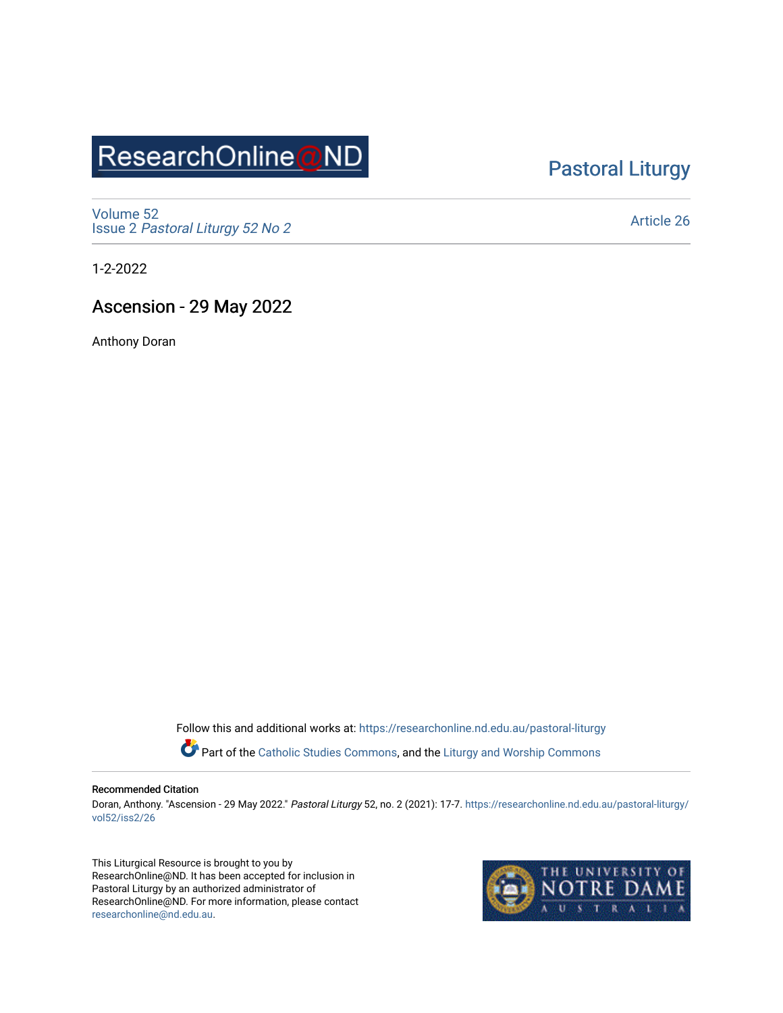# ResearchOnline@ND

## [Pastoral Liturgy](https://researchonline.nd.edu.au/pastoral-liturgy)

[Volume 52](https://researchonline.nd.edu.au/pastoral-liturgy/vol52) Issue 2 [Pastoral Liturgy 52 No 2](https://researchonline.nd.edu.au/pastoral-liturgy/vol52/iss2)

[Article 26](https://researchonline.nd.edu.au/pastoral-liturgy/vol52/iss2/26) 

1-2-2022

### Ascension - 29 May 2022

Anthony Doran

Follow this and additional works at: [https://researchonline.nd.edu.au/pastoral-liturgy](https://researchonline.nd.edu.au/pastoral-liturgy?utm_source=researchonline.nd.edu.au%2Fpastoral-liturgy%2Fvol52%2Fiss2%2F26&utm_medium=PDF&utm_campaign=PDFCoverPages)

Part of the [Catholic Studies Commons,](http://network.bepress.com/hgg/discipline/1294?utm_source=researchonline.nd.edu.au%2Fpastoral-liturgy%2Fvol52%2Fiss2%2F26&utm_medium=PDF&utm_campaign=PDFCoverPages) and the Liturgy and Worship Commons

#### Recommended Citation

Doran, Anthony. "Ascension - 29 May 2022." Pastoral Liturgy 52, no. 2 (2021): 17-7. [https://researchonline.nd.edu.au/pastoral-liturgy/](https://researchonline.nd.edu.au/pastoral-liturgy/vol52/iss2/26?utm_source=researchonline.nd.edu.au%2Fpastoral-liturgy%2Fvol52%2Fiss2%2F26&utm_medium=PDF&utm_campaign=PDFCoverPages) [vol52/iss2/26](https://researchonline.nd.edu.au/pastoral-liturgy/vol52/iss2/26?utm_source=researchonline.nd.edu.au%2Fpastoral-liturgy%2Fvol52%2Fiss2%2F26&utm_medium=PDF&utm_campaign=PDFCoverPages) 

This Liturgical Resource is brought to you by ResearchOnline@ND. It has been accepted for inclusion in Pastoral Liturgy by an authorized administrator of ResearchOnline@ND. For more information, please contact [researchonline@nd.edu.au.](mailto:researchonline@nd.edu.au)

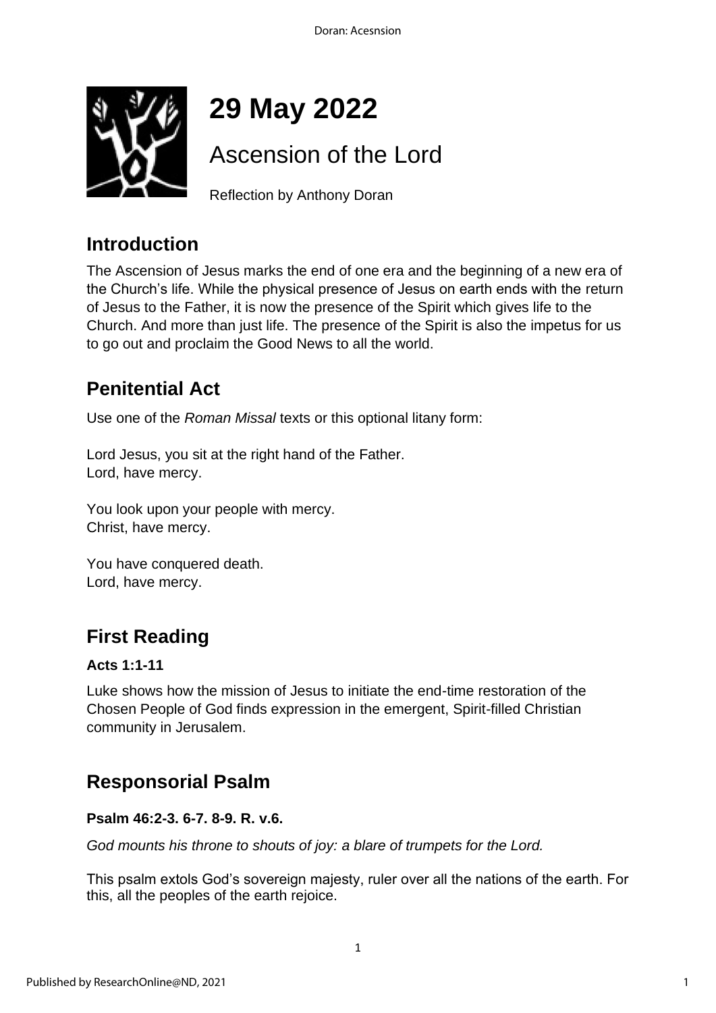

# **29 May 2022**

## Ascension of the Lord

Reflection by Anthony Doran

## **Introduction**

The Ascension of Jesus marks the end of one era and the beginning of a new era of the Church's life. While the physical presence of Jesus on earth ends with the return of Jesus to the Father, it is now the presence of the Spirit which gives life to the Church. And more than just life. The presence of the Spirit is also the impetus for us to go out and proclaim the Good News to all the world.

## **Penitential Act**

Use one of the *Roman Missal* texts or this optional litany form:

Lord Jesus, you sit at the right hand of the Father. Lord, have mercy.

You look upon your people with mercy. Christ, have mercy.

You have conquered death. Lord, have mercy.

## **First Reading**

#### **Acts 1:1-11**

Luke shows how the mission of Jesus to initiate the end-time restoration of the Chosen People of God finds expression in the emergent, Spirit-filled Christian community in Jerusalem.

## **Responsorial Psalm**

#### **Psalm 46:2-3. 6-7. 8-9. R. v.6.**

*God mounts his throne to shouts of joy: a blare of trumpets for the Lord.*

This psalm extols God's sovereign majesty, ruler over all the nations of the earth. For this, all the peoples of the earth rejoice.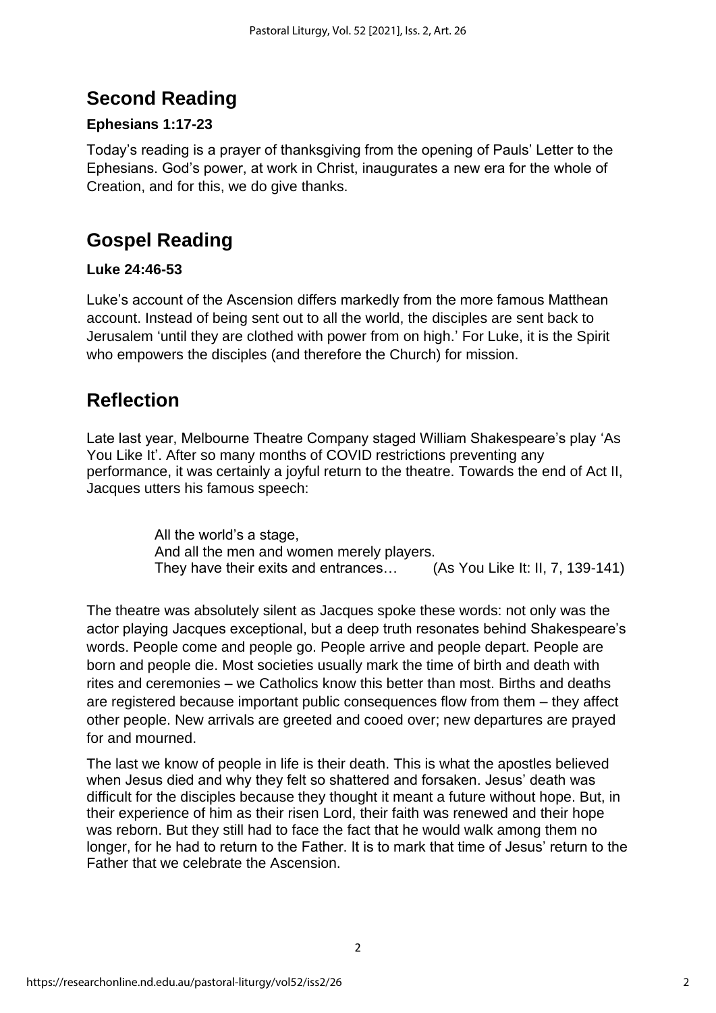## **Second Reading**

### **Ephesians 1:17-23**

Today's reading is a prayer of thanksgiving from the opening of Pauls' Letter to the Ephesians. God's power, at work in Christ, inaugurates a new era for the whole of Creation, and for this, we do give thanks.

## **Gospel Reading**

#### **Luke 24:46-53**

Luke's account of the Ascension differs markedly from the more famous Matthean account. Instead of being sent out to all the world, the disciples are sent back to Jerusalem 'until they are clothed with power from on high.' For Luke, it is the Spirit who empowers the disciples (and therefore the Church) for mission.

## **Reflection**

Late last year, Melbourne Theatre Company staged William Shakespeare's play 'As You Like It'. After so many months of COVID restrictions preventing any performance, it was certainly a joyful return to the theatre. Towards the end of Act II, Jacques utters his famous speech:

> All the world's a stage, And all the men and women merely players. They have their exits and entrances… (As You Like It: II, 7, 139-141)

The theatre was absolutely silent as Jacques spoke these words: not only was the actor playing Jacques exceptional, but a deep truth resonates behind Shakespeare's words. People come and people go. People arrive and people depart. People are born and people die. Most societies usually mark the time of birth and death with rites and ceremonies – we Catholics know this better than most. Births and deaths are registered because important public consequences flow from them – they affect other people. New arrivals are greeted and cooed over; new departures are prayed for and mourned.

The last we know of people in life is their death. This is what the apostles believed when Jesus died and why they felt so shattered and forsaken. Jesus' death was difficult for the disciples because they thought it meant a future without hope. But, in their experience of him as their risen Lord, their faith was renewed and their hope was reborn. But they still had to face the fact that he would walk among them no longer, for he had to return to the Father. It is to mark that time of Jesus' return to the Father that we celebrate the Ascension.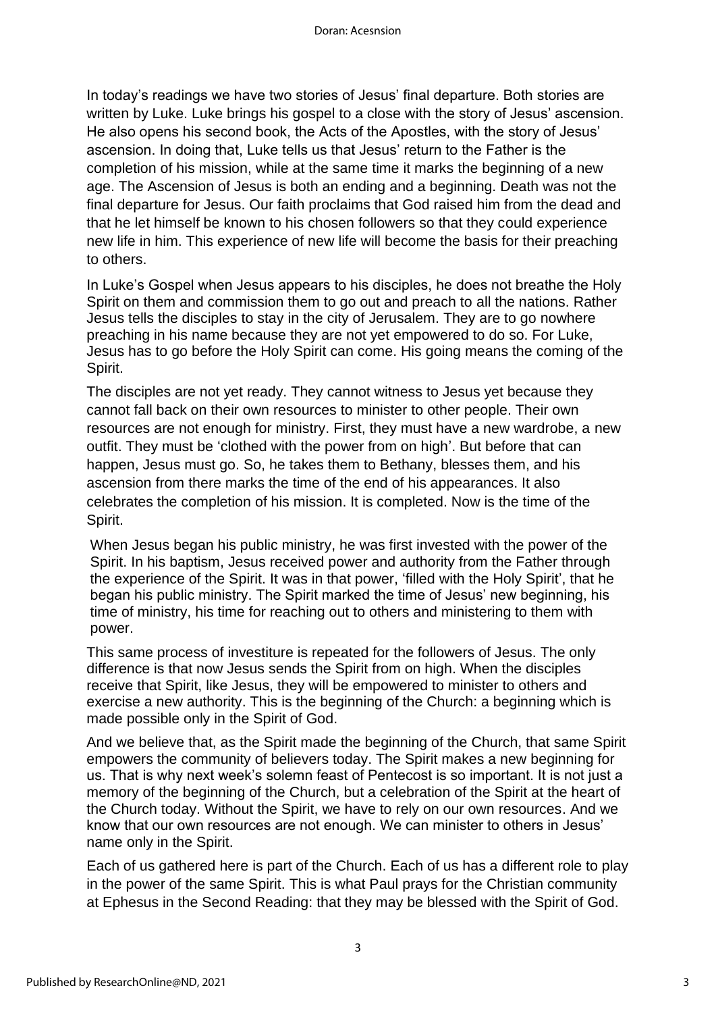In today's readings we have two stories of Jesus' final departure. Both stories are written by Luke. Luke brings his gospel to a close with the story of Jesus' ascension. He also opens his second book, the Acts of the Apostles, with the story of Jesus' ascension. In doing that, Luke tells us that Jesus' return to the Father is the completion of his mission, while at the same time it marks the beginning of a new age. The Ascension of Jesus is both an ending and a beginning. Death was not the final departure for Jesus. Our faith proclaims that God raised him from the dead and that he let himself be known to his chosen followers so that they could experience new life in him. This experience of new life will become the basis for their preaching to others.

In Luke's Gospel when Jesus appears to his disciples, he does not breathe the Holy Spirit on them and commission them to go out and preach to all the nations. Rather Jesus tells the disciples to stay in the city of Jerusalem. They are to go nowhere preaching in his name because they are not yet empowered to do so. For Luke, Jesus has to go before the Holy Spirit can come. His going means the coming of the Spirit.

The disciples are not yet ready. They cannot witness to Jesus yet because they cannot fall back on their own resources to minister to other people. Their own resources are not enough for ministry. First, they must have a new wardrobe, a new outfit. They must be 'clothed with the power from on high'. But before that can happen, Jesus must go. So, he takes them to Bethany, blesses them, and his ascension from there marks the time of the end of his appearances. It also celebrates the completion of his mission. It is completed. Now is the time of the Spirit.

When Jesus began his public ministry, he was first invested with the power of the Spirit. In his baptism, Jesus received power and authority from the Father through the experience of the Spirit. It was in that power, 'filled with the Holy Spirit', that he began his public ministry. The Spirit marked the time of Jesus' new beginning, his time of ministry, his time for reaching out to others and ministering to them with power.

This same process of investiture is repeated for the followers of Jesus. The only difference is that now Jesus sends the Spirit from on high. When the disciples receive that Spirit, like Jesus, they will be empowered to minister to others and exercise a new authority. This is the beginning of the Church: a beginning which is made possible only in the Spirit of God.

And we believe that, as the Spirit made the beginning of the Church, that same Spirit empowers the community of believers today. The Spirit makes a new beginning for us. That is why next week's solemn feast of Pentecost is so important. It is not just a memory of the beginning of the Church, but a celebration of the Spirit at the heart of the Church today. Without the Spirit, we have to rely on our own resources. And we know that our own resources are not enough. We can minister to others in Jesus' name only in the Spirit.

Each of us gathered here is part of the Church. Each of us has a different role to play in the power of the same Spirit. This is what Paul prays for the Christian community at Ephesus in the Second Reading: that they may be blessed with the Spirit of God.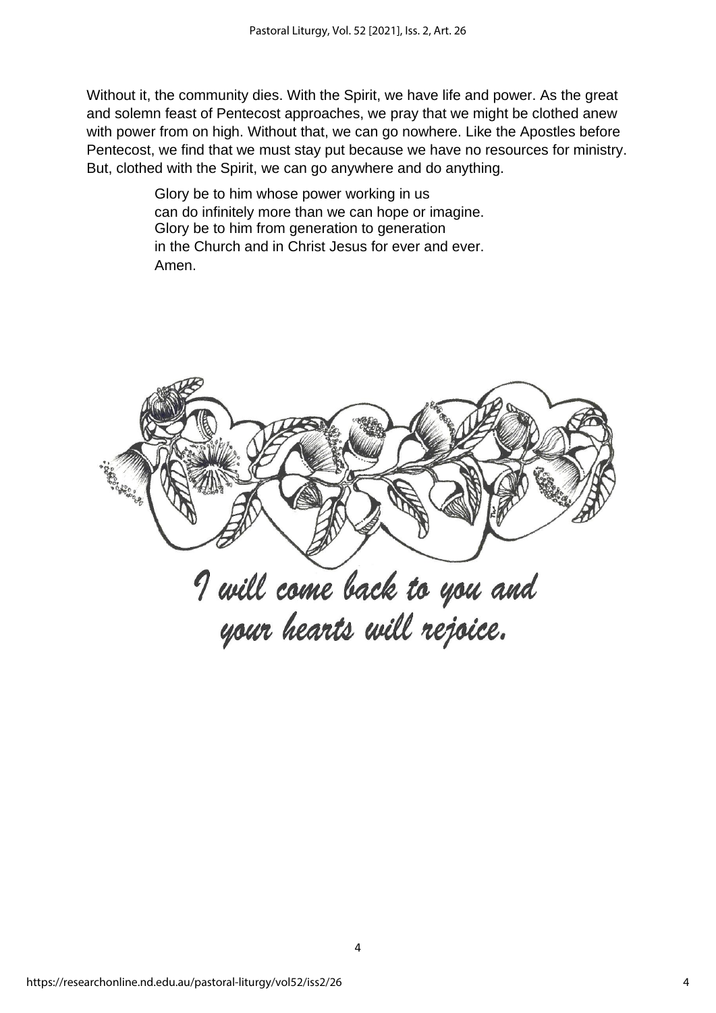Without it, the community dies. With the Spirit, we have life and power. As the great and solemn feast of Pentecost approaches, we pray that we might be clothed anew with power from on high. Without that, we can go nowhere. Like the Apostles before Pentecost, we find that we must stay put because we have no resources for ministry. But, clothed with the Spirit, we can go anywhere and do anything.

> Glory be to him whose power working in us can do infinitely more than we can hope or imagine. Glory be to him from generation to generation in the Church and in Christ Jesus for ever and ever. Amen.

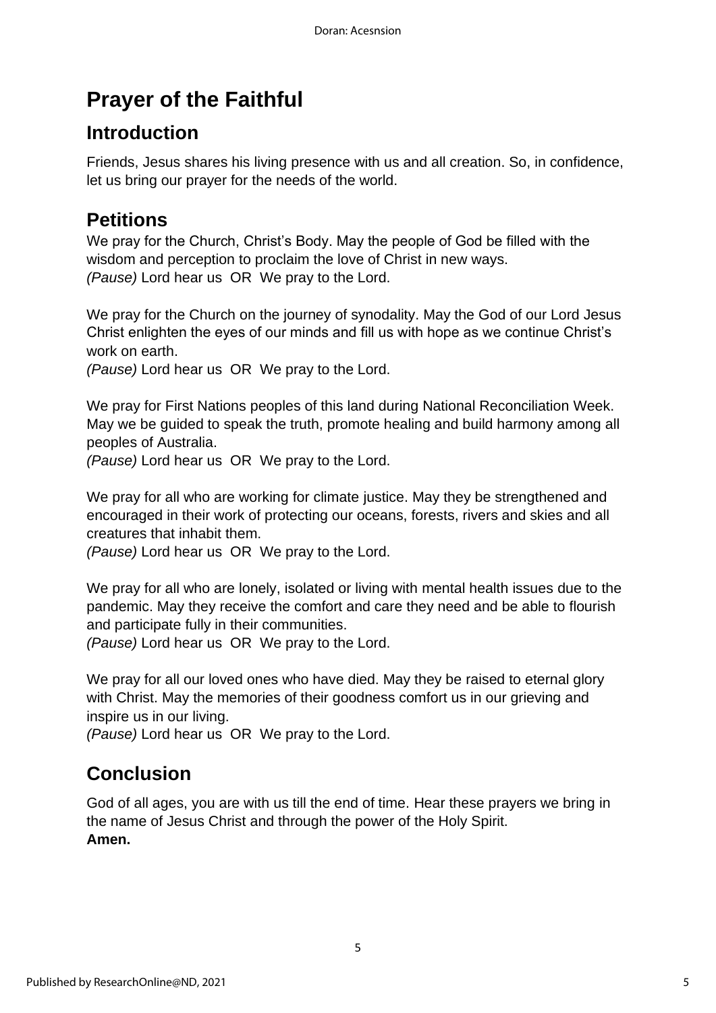## **Prayer of the Faithful**

## **Introduction**

Friends, Jesus shares his living presence with us and all creation. So, in confidence, let us bring our prayer for the needs of the world.

## **Petitions**

We pray for the Church, Christ's Body. May the people of God be filled with the wisdom and perception to proclaim the love of Christ in new ways. *(Pause)* Lord hear us OR We pray to the Lord.

We pray for the Church on the journey of synodality. May the God of our Lord Jesus Christ enlighten the eyes of our minds and fill us with hope as we continue Christ's work on earth.

*(Pause)* Lord hear us OR We pray to the Lord.

We pray for First Nations peoples of this land during National Reconciliation Week. May we be guided to speak the truth, promote healing and build harmony among all peoples of Australia.

*(Pause)* Lord hear us OR We pray to the Lord.

We pray for all who are working for climate justice. May they be strengthened and encouraged in their work of protecting our oceans, forests, rivers and skies and all creatures that inhabit them.

*(Pause)* Lord hear us OR We pray to the Lord.

We pray for all who are lonely, isolated or living with mental health issues due to the pandemic. May they receive the comfort and care they need and be able to flourish and participate fully in their communities.

*(Pause)* Lord hear us OR We pray to the Lord.

We pray for all our loved ones who have died. May they be raised to eternal glory with Christ. May the memories of their goodness comfort us in our grieving and inspire us in our living.

*(Pause)* Lord hear us OR We pray to the Lord.

## **Conclusion**

God of all ages, you are with us till the end of time. Hear these prayers we bring in the name of Jesus Christ and through the power of the Holy Spirit. **Amen.**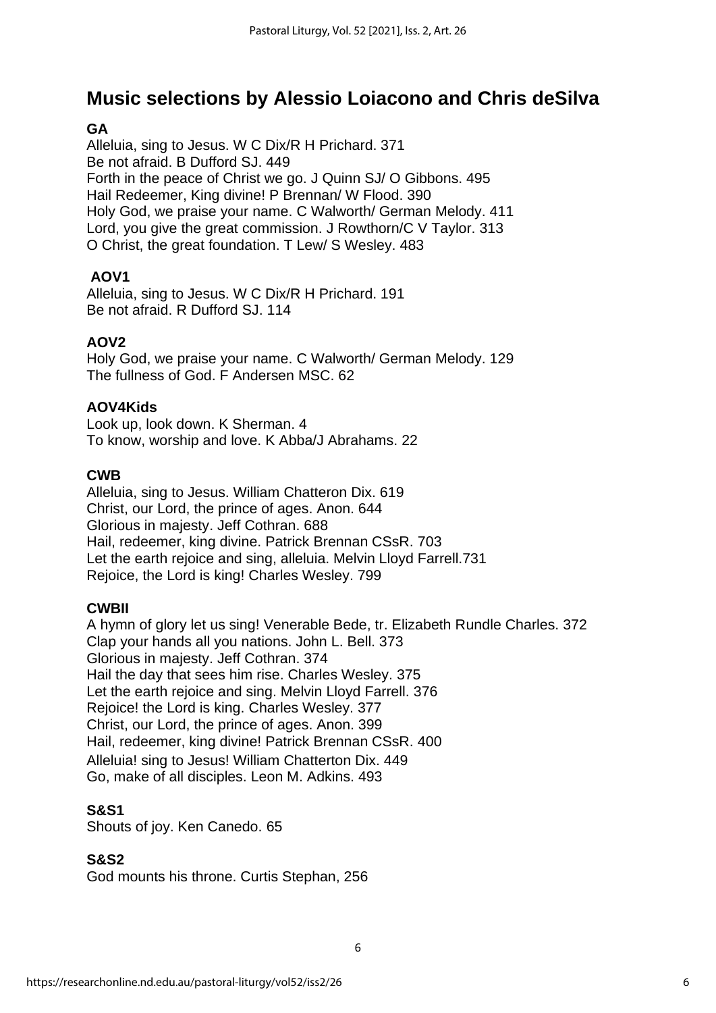## **Music selections by Alessio Loiacono and Chris deSilva**

#### **GA**

Alleluia, sing to Jesus. W C Dix/R H Prichard. 371 Be not afraid. B Dufford SJ. 449 Forth in the peace of Christ we go. J Quinn SJ/ O Gibbons. 495 Hail Redeemer, King divine! P Brennan/ W Flood. 390 Holy God, we praise your name. C Walworth/ German Melody. 411 Lord, you give the great commission. J Rowthorn/C V Taylor. 313 O Christ, the great foundation. T Lew/ S Wesley. 483

#### **AOV1**

Alleluia, sing to Jesus. W C Dix/R H Prichard. 191 Be not afraid. R Dufford SJ. 114

#### **AOV2**

Holy God, we praise your name. C Walworth/ German Melody. 129 The fullness of God. F Andersen MSC. 62

#### **AOV4Kids**

Look up, look down. K Sherman. 4 To know, worship and love. K Abba/J Abrahams. 22

#### **CWB**

Alleluia, sing to Jesus. William Chatteron Dix. 619 Christ, our Lord, the prince of ages. Anon. 644 Glorious in majesty. Jeff Cothran. 688 Hail, redeemer, king divine. Patrick Brennan CSsR. 703 Let the earth rejoice and sing, alleluia. Melvin Lloyd Farrell.731 Rejoice, the Lord is king! Charles Wesley. 799

#### **CWBII**

A hymn of glory let us sing! Venerable Bede, tr. Elizabeth Rundle Charles. 372 Clap your hands all you nations. John L. Bell. 373 Glorious in majesty. Jeff Cothran. 374 Hail the day that sees him rise. Charles Wesley. 375 Let the earth rejoice and sing. Melvin Lloyd Farrell. 376 Rejoice! the Lord is king. Charles Wesley. 377 Christ, our Lord, the prince of ages. Anon. 399 Hail, redeemer, king divine! Patrick Brennan CSsR. 400 Alleluia! sing to Jesus! William Chatterton Dix. 449 Go, make of all disciples. Leon M. Adkins. 493

#### **S&S1**

Shouts of joy. Ken Canedo. 65

#### **S&S2**

God mounts his throne. Curtis Stephan, 256